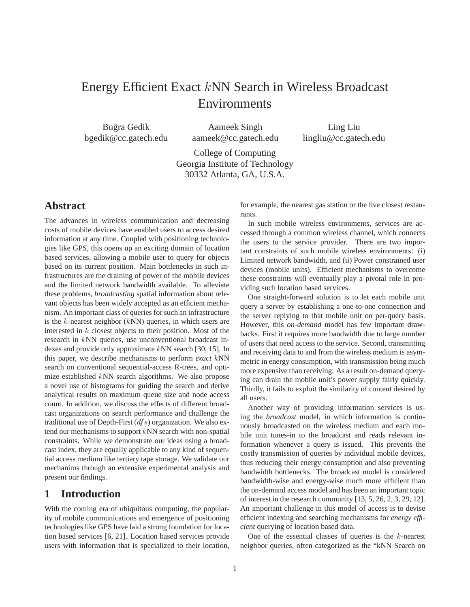# Energy Efficient Exact *k*NN Search in Wireless Broadcast Environments

Bugra Gedik ˘ bgedik@cc.gatech.edu

Aameek Singh aameek@cc.gatech.edu

Ling Liu lingliu@cc.gatech.edu

College of Computing Georgia Institute of Technology 30332 Atlanta, GA, U.S.A.

# **Abstract**

The advances in wireless communication and decreasing costs of mobile devices have enabled users to access desired information at any time. Coupled with positioning technologies like GPS, this opens up an exciting domain of location based services, allowing a mobile user to query for objects based on its current position. Main bottlenecks in such infrastructures are the draining of power of the mobile devices and the limited network bandwidth available. To alleviate these problems, *broadcasting* spatial information about relevant objects has been widely accepted as an efficient mechanism. An important class of queries for such an infrastructure is the  $k$ -nearest neighbor  $(kNN)$  queries, in which users are interested in  $k$  closest objects to their position. Most of the research in kNN queries, use unconventional broadcast indexes and provide only approximate kNN search [30, 15]. In this paper, we describe mechanisms to perform *exact* kNN search on conventional sequential-access R-trees, and optimize established kNN search algorithms. We also propose a novel use of histograms for guiding the search and derive analytical results on maximum queue size and node access count. In addition, we discuss the effects of different broadcast organizations on search performance and challenge the traditional use of Depth-First  $(dfs)$  organization. We also extend our mechanisms to support kNN search with non-spatial constraints. While we demonstrate our ideas using a broadcast index, they are equally applicable to any kind of sequential access medium like tertiary tape storage. We validate our mechanims through an extensive experimental analysis and present our findings.

# **1 Introduction**

With the coming era of ubiquitous computing, the popularity of mobile communications and emergence of positioning technologies like GPS have laid a strong foundation for location based services [6, 21]. Location based services provide users with information that is specialized to their location, for example, the nearest gas station or the five closest restaurants.

In such mobile wireless environments, services are accessed through a common wireless channel, which connects the users to the service provider. There are two important constraints of such mobile wireless environments: (i) Limited network bandwidth, and (ii) Power constrained user devices (mobile units). Efficient mechanisms to overcome these constraints will eventually play a pivotal role in providing such location based services.

One straight-forward solution is to let each mobile unit query a server by establishing a one-to-one connection and the server replying to that mobile unit on per-query basis. However, this *on-demand* model has few important drawbacks. First it requires more bandwidth due to large number of users that need access to the service. Second, transmitting and receiving data to and from the wireless medium is asymmetric in energy consumption, with transmission being much more expensive than receiving. As a result on-demand querying can drain the mobile unit's power supply fairly quickly. Thirdly, it fails to exploit the similarity of content desired by all users.

Another way of providing information services is using the *broadcast* model, in which information is continuously broadcasted on the wireless medium and each mobile unit tunes-in to the broadcast and reads relevant information whenever a query is issued. This prevents the costly transmission of queries by individual mobile devices, thus reducing their energy consumption and also preventing bandwidth bottlenecks. The broadcast model is considered bandwidth-wise and energy-wise much more efficient than the on-demand access model and has been an important topic of interest in the research community [13, 5, 26, 2, 3, 29, 12]. An important challenge in this model of access is to devise efficient indexing and searching mechanisms for *energy efficient* querying of location based data.

One of the essential classes of queries is the  $k$ -nearest neighbor queries, often categorized as the "kNN Search on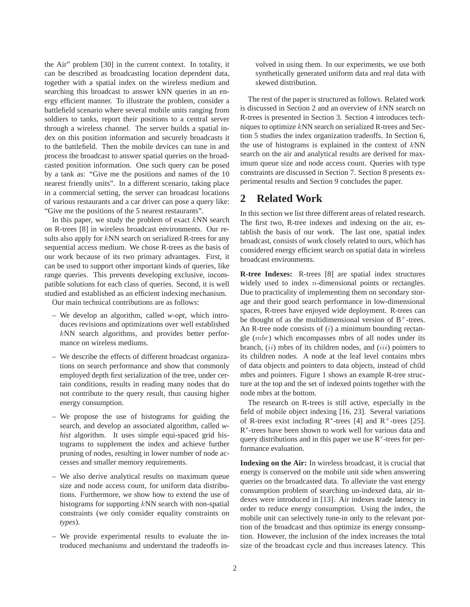the Air" problem [30] in the current context. In totality, it can be described as broadcasting location dependent data, together with a spatial index on the wireless medium and searching this broadcast to answer kNN queries in an energy efficient manner. To illustrate the problem, consider a battlefield scenario where several mobile units ranging from soldiers to tanks, report their positions to a central server through a wireless channel. The server builds a spatial index on this position information and securely broadcasts it to the battlefield. Then the mobile devices can tune in and process the broadcast to answer spatial queries on the broadcasted position information. One such query can be posed by a tank as: "Give me the positions and names of the 10 nearest friendly units". In a different scenario, taking place in a commercial setting, the server can broadcast locations of various restaurants and a car driver can pose a query like: "Give me the positions of the 5 nearest restaurants".

In this paper, we study the problem of exact  $kNN$  search on R-trees [8] in wireless broadcast environments. Our results also apply for kNN search on serialized R-trees for any sequential access medium. We chose R-trees as the basis of our work because of its two primary advantages. First, it can be used to support other important kinds of queries, like range queries. This prevents developing exclusive, incompatible solutions for each class of queries. Second, it is well studied and established as an efficient indexing mechanism.

Our main technical contributions are as follows:

- We develop an algorithm, called *w-opt*, which introduces revisions and optimizations over well established kNN search algorithms, and provides better performance on wireless mediums.
- We describe the effects of different broadcast organizations on search performance and show that commonly employed depth first serialization of the tree, under certain conditions, results in reading many nodes that do not contribute to the query result, thus causing higher energy consumption.
- We propose the use of histograms for guiding the search, and develop an associated algorithm, called *whist* algorithm. It uses simple equi-spaced grid histograms to supplement the index and achieve further pruning of nodes, resulting in lower number of node accesses and smaller memory requirements.
- We also derive analytical results on maximum queue size and node access count, for uniform data distributions. Furthermore, we show how to extend the use of histograms for supporting kNN search with non-spatial constraints (we only consider equality constraints on *types*).
- We provide experimental results to evaluate the introduced mechanisms and understand the tradeoffs in-

volved in using them. In our experiments, we use both synthetically generated uniform data and real data with skewed distribution.

The rest of the paper is structured as follows. Related work is discussed in Section 2 and an overview of kNN search on R-trees is presented in Section 3. Section 4 introduces techniques to optimize kNN search on serialized R-trees and Section 5 studies the index organization tradeoffs. In Section 6, the use of histograms is explained in the context of  $kNN$ search on the air and analytical results are derived for maximum queue size and node access count. Queries with type constraints are discussed in Section 7. Section 8 presents experimental results and Section 9 concludes the paper.

# **2 Related Work**

In this section we list three different areas of related research. The first two, R-tree indexes and indexing on the air, establish the basis of our work. The last one, spatial index broadcast, consists of work closely related to ours, which has considered energy efficient search on spatial data in wireless broadcast environments.

**R-tree Indexes:** R-trees [8] are spatial index structures widely used to index *n*-dimensional points or rectangles. Due to practicality of implementing them on secondary storage and their good search performance in low-dimensional spaces, R-trees have enjoyed wide deployment. R-trees can be thought of as the multidimensional version of  $B^+$ -trees. An R-tree node consists of  $(i)$  a minimum bounding rectangle (mbr) which encompasses mbrs of all nodes under its branch,  $(ii)$  mbrs of its children nodes, and  $(iii)$  pointers to its children nodes. A node at the leaf level contains mbrs of data objects and pointers to data objects, instead of child mbrs and pointers. Figure 1 shows an example R-tree structure at the top and the set of indexed points together with the node mbrs at the bottom.

The research on R-trees is still active, especially in the field of mobile object indexing [16, 23]. Several variations of R-trees exist including R<sup>\*</sup>-trees [4] and R<sup>+</sup>-trees [25]. R<sup>∗</sup>-trees have been shown to work well for various data and query distributions and in this paper we use  $R<sup>*</sup>$ -trees for performance evaluation.

**Indexing on the Air:** In wireless broadcast, it is crucial that energy is conserved on the mobile unit side when answering queries on the broadcasted data. To alleviate the vast energy consumption problem of searching un-indexed data, air indexes were introduced in [13]. Air indexes trade latency in order to reduce energy consumption. Using the index, the mobile unit can selectively tune-in only to the relevant portion of the broadcast and thus optimize its energy consumption. However, the inclusion of the index increases the total size of the broadcast cycle and thus increases latency. This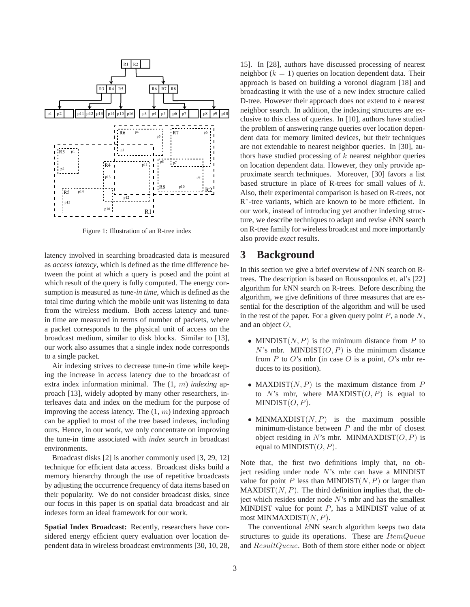

Figure 1: Illustration of an R-tree index

latency involved in searching broadcasted data is measured as *access latency*, which is defined as the time difference between the point at which a query is posed and the point at which result of the query is fully computed. The energy consumption is measured as *tune-in time*, which is defined as the total time during which the mobile unit was listening to data from the wireless medium. Both access latency and tunein time are measured in terms of number of packets, where a packet corresponds to the physical unit of access on the broadcast medium, similar to disk blocks. Similar to [13], our work also assumes that a single index node corresponds to a single packet.

Air indexing strives to decrease tune-in time while keeping the increase in access latency due to the broadcast of extra index information minimal. The (1, m) *indexing* approach [13], widely adopted by many other researchers, interleaves data and index on the medium for the purpose of improving the access latency. The  $(1, m)$  indexing approach can be applied to most of the tree based indexes, including ours. Hence, in our work, we only concentrate on improving the tune-in time associated with *index search* in broadcast environments.

Broadcast disks [2] is another commonly used [3, 29, 12] technique for efficient data access. Broadcast disks build a memory hierarchy through the use of repetitive broadcasts by adjusting the occurrence frequency of data items based on their popularity. We do not consider broadcast disks, since our focus in this paper is on spatial data broadcast and air indexes form an ideal framework for our work.

**Spatial Index Broadcast:** Recently, researchers have considered energy efficient query evaluation over location dependent data in wireless broadcast environments [30, 10, 28,

15]. In [28], authors have discussed processing of nearest neighbor  $(k = 1)$  queries on location dependent data. Their approach is based on building a voronoi diagram [18] and broadcasting it with the use of a new index structure called D-tree. However their approach does not extend to  $k$  nearest neighbor search. In addition, the indexing structures are exclusive to this class of queries. In [10], authors have studied the problem of answering range queries over location dependent data for memory limited devices, but their techniques are not extendable to nearest neighbor queries. In [30], authors have studied processing of  $k$  nearest neighbor queries on location dependent data. However, they only provide approximate search techniques. Moreover, [30] favors a list based structure in place of R-trees for small values of k. Also, their experimental comparison is based on R-trees, not R∗-tree variants, which are known to be more efficient. In our work, instead of introducing yet another indexing structure, we describe techniques to adapt and revise kNN search on R-tree family for wireless broadcast and more importantly also provide *exact* results.

# **3 Background**

In this section we give a brief overview of  $kNN$  search on Rtrees. The description is based on Roussopoulos et. al's [22] algorithm for kNN search on R-trees. Before describing the algorithm, we give definitions of three measures that are essential for the description of the algorithm and will be used in the rest of the paper. For a given query point  $P$ , a node  $N$ , and an object  $O$ ,

- MINDIST $(N, P)$  is the minimum distance from P to  $N$ 's mbr. MINDIST $(O, P)$  is the minimum distance from P to O's mbr (in case O is a point, O's mbr reduces to its position).
- MAXDIST $(N, P)$  is the maximum distance from P to N's mbr, where MAXDIST $(O, P)$  is equal to  $MINDIST(O, P)$ .
- MINMAXDIST $(N, P)$  is the maximum possible minimum-distance between  $P$  and the mbr of closest object residing in N's mbr. MINMAXDIST $(O, P)$  is equal to MINDIST $(O, P)$ .

Note that, the first two definitions imply that, no object residing under node N's mbr can have a MINDIST value for point P less than MINDIST $(N, P)$  or larger than  $MAXDIST(N, P)$ . The third definition implies that, the object which resides under node  $N$ 's mbr and has the smallest MINDIST value for point  $P$ , has a MINDIST value of at most MINMAXDIST $(N, P)$ .

The conventional  $kNN$  search algorithm keeps two data structures to guide its operations. These are *ItemQueue* and ResultQueue. Both of them store either node or object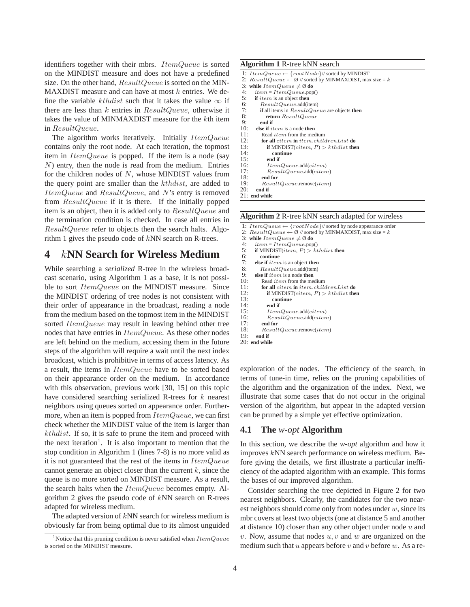identifiers together with their mbrs. ItemQueue is sorted on the MINDIST measure and does not have a predefined size. On the other hand,  $ResultQueue$  is sorted on the MIN-MAXDIST measure and can have at most  $k$  entries. We define the variable kthdist such that it takes the value  $\infty$  if there are less than  $k$  entries in  $ResultQueue$ , otherwise it takes the value of MINMAXDIST measure for the kth item in ResultQueue.

The algorithm works iteratively. Initially ItemQueue contains only the root node. At each iteration, the topmost item in  $ItemQueue$  is popped. If the item is a node (say N) entry, then the node is read from the medium. Entries for the children nodes of  $N$ , whose MINDIST values from the query point are smaller than the kthdist, are added to ItemQueue and ResultQueue, and N's entry is removed from ResultQueue if it is there. If the initially popped item is an object, then it is added only to ResultQueue and the termination condition is checked. In case all entries in ResultQueue refer to objects then the search halts. Algorithm 1 gives the pseudo code of kNN search on R-trees.

# **4** *k***NN Search for Wireless Medium**

While searching a *serialized* R-tree in the wireless broadcast scenario, using Algorithm 1 as a base, it is not possible to sort *ItemQueue* on the MINDIST measure. Since the MINDIST ordering of tree nodes is not consistent with their order of appearance in the broadcast, reading a node from the medium based on the topmost item in the MINDIST sorted *ItemQueue* may result in leaving behind other tree nodes that have entries in  $ItemQueue$ . As these other nodes are left behind on the medium, accessing them in the future steps of the algorithm will require a wait until the next index broadcast, which is prohibitive in terms of access latency. As a result, the items in ItemQueue have to be sorted based on their appearance order on the medium. In accordance with this observation, previous work [30, 15] on this topic have considered searching serialized R-trees for k nearest neighbors using queues sorted on appearance order. Furthermore, when an item is popped from  $ItemQueue$ , we can first check whether the MINDIST value of the item is larger than kthdist. If so, it is safe to prune the item and proceed with the next iteration<sup>1</sup>. It is also important to mention that the stop condition in Algorithm 1 (lines 7-8) is no more valid as it is not guaranteed that the rest of the items in  $ItemQueue$ cannot generate an object closer than the current  $k$ , since the queue is no more sorted on MINDIST measure. As a result, the search halts when the *ItemQueue* becomes empty. Algorithm 2 gives the pseudo code of kNN search on R-trees adapted for wireless medium.

The adapted version of  $kNN$  search for wireless medium is obviously far from being optimal due to its almost unguided

### **Algorithm 1** R-tree kNN search

|     | 1: $ItemQueue \leftarrow \{rootNode\}/\text{/ sorted by MINDIST}$           |
|-----|-----------------------------------------------------------------------------|
|     | 2: $ResultQueue \leftarrow \emptyset$ // sorted by MINMAXDIST, max size = k |
|     |                                                                             |
|     | 3: while $ItemQueue \neq \emptyset$ do                                      |
| 4:  | $item = ItemQueue.pop()$                                                    |
| 5:  | <b>if</b> <i>item</i> is an object <b>then</b>                              |
| 6:  | ResultQueue.additem)                                                        |
| 7:  | <b>if</b> all items in $ResultQueue$ are objects <b>then</b>                |
| 8:  | return ResultQueue                                                          |
| 9:  | end if                                                                      |
| 10: | else if $item$ is a node then                                               |
| 11: | Read <i>item</i> from the medium                                            |
| 12: | for all citem in item.childrenList do                                       |
| 13: | <b>if</b> MINDIST( <i>citem, P</i> ) > kthdist <b>then</b>                  |
| 14: | continue                                                                    |
| 15: | end if                                                                      |
| 16: | ItemQueue.add(citem)                                                        |
| 17: | ResultQueue.add(citem)                                                      |
| 18: | end for                                                                     |
| 19: | $ResultQueue$ .remove $item)$                                               |
| 20: | end if                                                                      |
|     | $21.$ $-1.1$ $-1.2$                                                         |

21: **end while**

**Algorithm 2** R-tree kNN search adapted for wireless

| 1: $ItemQueue \leftarrow \{rootNode\}/\text{/ sorted by node appearance order}$ |
|---------------------------------------------------------------------------------|
| 2: $ResultQueue \leftarrow \emptyset$ // sorted by MINMAXDIST, max size = k     |
| 3: while $ItemQueue \neq \emptyset$ do                                          |
| 4:<br>$item = ItemQueue.pop()$                                                  |
| 5:<br>if MINDIST( <i>item, P</i> ) > kthdist then                               |
| 6:<br>continue                                                                  |
| 7:<br>else if $item$ is an object then                                          |
| 8:<br>ResultQueue.additem)                                                      |
| 9:<br>else if $item$ is a node then                                             |
| 10:<br>Read <i>item</i> from the medium                                         |
| 11:<br><b>for all</b> citem <b>in</b> item.childrenList <b>do</b>               |
| 12:<br><b>if</b> MINDIST( <i>citem, P</i> ) > kthdist <b>then</b>               |
| 13:<br>continue                                                                 |
| 14:<br>end if                                                                   |
| 15:<br>ItemQueue.add(citem)                                                     |
| 16:<br>ResultQueue.add(citem)                                                   |
| 17:<br>end for                                                                  |
| 18:<br>$ResultQueue$ .remove $item)$                                            |
| 19:<br>end if                                                                   |
| $20:$ end while                                                                 |

exploration of the nodes. The efficiency of the search, in terms of tune-in time, relies on the pruning capabilities of the algorithm and the organization of the index. Next, we illustrate that some cases that do not occur in the original version of the algorithm, but appear in the adapted version can be pruned by a simple yet effective optimization.

### **4.1 The** *w-opt* **Algorithm**

In this section, we describe the *w-opt* algorithm and how it improves kNN search performance on wireless medium. Before giving the details, we first illustrate a particular inefficiency of the adapted algorithm with an example. This forms the bases of our improved algorithm.

Consider searching the tree depicted in Figure 2 for two nearest neighbors. Clearly, the candidates for the two nearest neighbors should come only from nodes under  $w$ , since its mbr covers at least two objects (one at distance 5 and another at distance 10) closer than any other object under node  $u$  and v. Now, assume that nodes  $u, v$  and  $w$  are organized on the medium such that u appears before v and v before w. As a re-

<sup>1</sup>Notice that this pruning condition is never satisfied when *ItemQueue* is sorted on the MINDIST measure.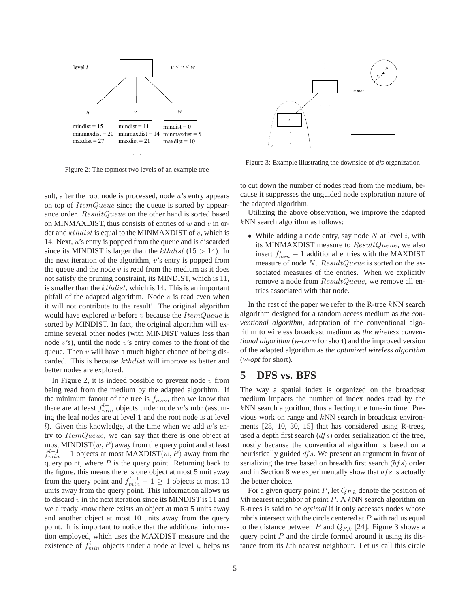

Figure 2: The topmost two levels of an example tree

sult, after the root node is processed, node  $u$ 's entry appears on top of *ItemQueue* since the queue is sorted by appearance order. ResultQueue on the other hand is sorted based on MINMAXDIST, thus consists of entries of  $w$  and  $v$  in order and  $kthdist$  is equal to the MINMAXDIST of v, which is 14. Next, <sup>u</sup>'s entry is popped from the queue and is discarded since its MINDIST is larger than the *kthdist* (15  $>$  14). In the next iteration of the algorithm, v's entry is popped from the queue and the node  $v$  is read from the medium as it does not satisfy the pruning constraint, its MINDIST, which is 11, is smaller than the *kthdist*, which is 14. This is an important pitfall of the adapted algorithm. Node  $v$  is read even when it will not contribute to the result! The original algorithm would have explored w before v because the  $ItemQueue$  is sorted by MINDIST. In fact, the original algorithm will examine several other nodes (with MINDIST values less than node  $v$ 's), until the node  $v$ 's entry comes to the front of the queue. Then  $v$  will have a much higher chance of being discarded. This is because kthdist will improve as better and better nodes are explored.

In Figure 2, it is indeed possible to prevent node  $v$  from being read from the medium by the adapted algorithm. If the minimum fanout of the tree is  $f_{min}$ , then we know that there are at least  $f_{min}^{l-1}$  objects under node w's mbr (assuming the leaf nodes are at level 1 and the root node is at level l). Given this knowledge, at the time when we add  $w$ 's entry to *ItemQueue*, we can say that there is one object at most MINDIST $(w, P)$  away from the query point and at least  $f_{min}^{l-1}$  – 1 objects at most MAXDIST $(w, P)$  away from the query point, where  $P$  is the query point. Returning back to the figure, this means there is one object at most 5 unit away from the query point and  $f_{min}^{l-1} - 1 \ge 1$  objects at most 10<br>units away from the query point. This information allows us units away from the query point. This information allows us to discard  $v$  in the next iteration since its MINDIST is 11 and we already know there exists an object at most 5 units away and another object at most 10 units away from the query point. It is important to notice that the additional information employed, which uses the MAXDIST measure and the existence of  $f_{min}^i$  objects under a node at level i, helps us



Figure 3: Example illustrating the downside of *dfs* organization

to cut down the number of nodes read from the medium, because it suppresses the unguided node exploration nature of the adapted algorithm.

Utilizing the above observation, we improve the adapted kNN search algorithm as follows:

• While adding a node entry, say node  $N$  at level  $i$ , with its MINMAXDIST measure to ResultQueue, we also insert  $f_{min}^i - 1$  additional entries with the MAXDIST<br>measure of node N. ResultOnene is sorted on the asmeasure of node N. ResultQueue is sorted on the associated measures of the entries. When we explicitly remove a node from  $ResultQueue$ , we remove all entries associated with that node.

In the rest of the paper we refer to the R-tree  $kNN$  search algorithm designed for a random access medium as *the conventional algorithm*, adaptation of the conventional algorithm to wireless broadcast medium as *the wireless conventional algorithm* (*w-conv* for short) and the improved version of the adapted algorithm as *the optimized wireless algorithm* (*w-opt* for short).

# **5 DFS vs. BFS**

The way a spatial index is organized on the broadcast medium impacts the number of index nodes read by the  $kNN$  search algorithm, thus affecting the tune-in time. Previous work on range and kNN search in broadcast environments [28, 10, 30, 15] that has considered using R-trees, used a depth first search  $(dfs)$  order serialization of the tree, mostly because the conventional algorithm is based on a heuristically guided *df s*. We present an argument in favor of serializing the tree based on breadth first search  $(bfs)$  order and in Section 8 we experimentally show that  $bf s$  is actually the better choice.

For a given query point P, let  $Q_{P,k}$  denote the position of  $k$ th nearest neighbor of point  $P$ . A  $k$ NN search algorithm on R-trees is said to be *optimal* if it only accesses nodes whose mbr's intersect with the circle centered at  $P$  with radius equal to the distance between P and  $Q_{P,k}$  [24]. Figure 3 shows a query point  $P$  and the circle formed around it using its distance from its kth nearest neighbour. Let us call this circle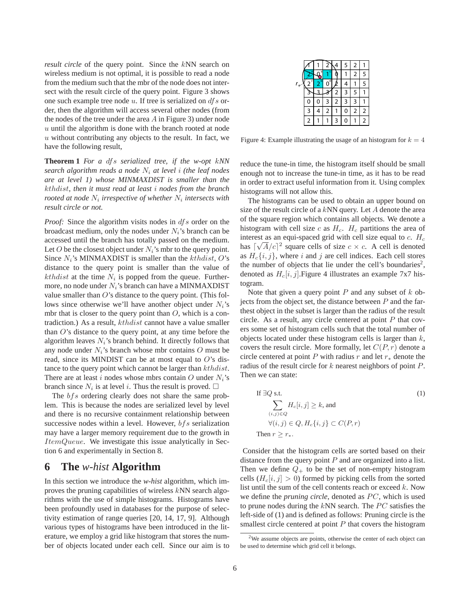*result circle* of the query point. Since the kNN search on wireless medium is not optimal, it is possible to read a node from the medium such that the mbr of the node does not intersect with the result circle of the query point. Figure 3 shows one such example tree node  $u$ . If tree is serialized on  $df s$  order, then the algorithm will access several other nodes (from the nodes of the tree under the area  $A$  in Figure 3) under node  $u$  until the algorithm is done with the branch rooted at node  $u$  without contributing any objects to the result. In fact, we have the following result,

**Theorem 1** *For a* dfs *serialized tree, if the w-opt* k*NN search algorithm reads a node* N<sup>i</sup> *at level* i *(the leaf nodes are at level 1) whose MINMAXDIST is smaller than the* kthdist*, then it must read at least* i *nodes from the branch rooted at node*  $N_i$  *irrespective of whether*  $N_i$  *intersects with result circle or not.*

*Proof:* Since the algorithm visits nodes in *df s* order on the broadcast medium, only the nodes under  $N_i$ 's branch can be accessed until the branch has totally passed on the medium. Let O be the closest object under  $N_i$ 's mbr to the query point. Since  $N_i$ 's MINMAXDIST is smaller than the *kthdist*, O's distance to the query point is smaller than the value of kthdist at the time  $N_i$  is popped from the queue. Furthermore, no node under  $N_i$ 's branch can have a MINMAXDIST value smaller than  $O$ 's distance to the query point. (This follows since otherwise we'll have another object under  $N_i$ 's mbr that is closer to the query point than  $O$ , which is a contradiction.) As a result, kthdist cannot have a value smaller than  $O$ 's distance to the query point, at any time before the algorithm leaves  $N_i$ 's branch behind. It directly follows that any node under  $N_i$ 's branch whose mbr contains  $O$  must be read, since its MINDIST can be at most equal to  $O$ 's distance to the query point which cannot be larger than  $kthdist$ . There are at least i nodes whose mbrs contain O under  $N_i$ 's branch since  $N_i$  is at level i. Thus the result is proved.  $\square$ 

The  $bf s$  ordering clearly does not share the same problem. This is because the nodes are serialized level by level and there is no recursive containment relationship between successive nodes within a level. However,  $bf$ s serialization may have a larger memory requirement due to the growth in ItemQueue. We investigate this issue analytically in Section 6 and experimentally in Section 8.

# **6 The** *w-hist* **Algorithm**

In this section we introduce the *w-hist* algorithm, which improves the pruning capabilities of wireless kNN search algorithms with the use of simple histograms. Histograms have been profoundly used in databases for the purpose of selectivity estimation of range queries [20, 14, 17, 9]. Although various types of histograms have been introduced in the literature, we employ a grid like histogram that stores the number of objects located under each cell. Since our aim is to

|   |   | 2 |   | 5 | 2 |   |
|---|---|---|---|---|---|---|
|   | ź |   |   |   | 2 | 5 |
|   | 2 | U |   |   |   | 5 |
|   |   |   | 2 | 3 | 5 |   |
| 0 | 0 | 3 | 2 | 3 | 3 |   |
| ٦ |   | 2 |   | 0 | 2 | 2 |
| 2 |   |   | 3 | Ω |   | 2 |

Figure 4: Example illustrating the usage of an histogram for  $k = 4$ 

reduce the tune-in time, the histogram itself should be small enough not to increase the tune-in time, as it has to be read in order to extract useful information from it. Using complex histograms will not allow this.

The histograms can be used to obtain an upper bound on size of the result circle of a  $kNN$  query. Let A denote the area of the square region which contains all objects. We denote a histogram with cell size c as  $H_c$ .  $H_c$  partitions the area of interest as an equi-spaced grid with cell size equal to c.  $H_c$ has  $\lceil \sqrt{A/c} \rceil^2$  square cells of size  $c \times c$ . A cell is denoted as  $H_c\{i, j\}$ , where i and j are cell indices. Each cell stores the number of objects that lie under the cell's boundaries<sup>2</sup>, denoted as  $H_c[i, j]$ . Figure 4 illustrates an example 7x7 histogram.

Note that given a query point  $P$  and any subset of  $k$  objects from the object set, the distance between  $P$  and the farthest object in the subset is larger than the radius of the result circle. As a result, any circle centered at point  $P$  that covers some set of histogram cells such that the total number of objects located under these histogram cells is larger than  $k$ , covers the result circle. More formally, let  $C(P, r)$  denote a circle centered at point P with radius r and let  $r_*$  denote the radius of the result circle for  $k$  nearest neighbors of point  $P$ . Then we can state:

If 
$$
\exists Q
$$
 s.t.  
\n
$$
\sum_{(i,j)\in Q} H_c[i,j] \ge k, \text{ and}
$$
\n
$$
\forall (i,j) \in Q, H_c\{i,j\} \subset C(P,r)
$$
\nThen  $r \ge r_*$ . (1)

Consider that the histogram cells are sorted based on their distance from the query point  $P$  and are organized into a list. Then we define  $Q_+$  to be the set of non-empty histogram cells  $(H_c[i, j] > 0)$  formed by picking cells from the sorted list until the sum of the cell contents reach or exceed  $k$ . Now we define the *pruning circle*, denoted as PC, which is used to prune nodes during the  $kNN$  search. The  $PC$  satisfies the left-side of (1) and is defined as follows: Pruning circle is the smallest circle centered at point  $P$  that covers the histogram

<sup>&</sup>lt;sup>2</sup>We assume objects are points, otherwise the center of each object can be used to determine which grid cell it belongs.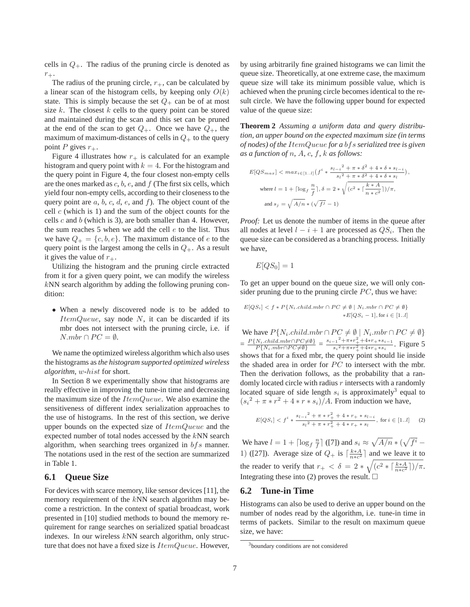cells in  $Q_{+}$ . The radius of the pruning circle is denoted as  $r_{+}$ .

The radius of the pruning circle,  $r_{+}$ , can be calculated by a linear scan of the histogram cells, by keeping only  $O(k)$ state. This is simply because the set  $Q_+$  can be of at most size  $k$ . The closest  $k$  cells to the query point can be stored and maintained during the scan and this set can be pruned at the end of the scan to get  $Q_+$ . Once we have  $Q_+$ , the maximum of maximum-distances of cells in  $Q_+$  to the query point P gives  $r_{+}$ .

Figure 4 illustrates how  $r_{+}$  is calculated for an example histogram and query point with  $k = 4$ . For the histogram and the query point in Figure 4, the four closest non-empty cells are the ones marked as  $c, b, e$ , and  $f$  (The first six cells, which yield four non-empty cells, according to their closeness to the query point are  $a, b, c, d, e$ , and  $f$ ). The object count of the cell  $c$  (which is 1) and the sum of the object counts for the cells  $c$  and  $b$  (which is 3), are both smaller than 4. However, the sum reaches 5 when we add the cell  $e$  to the list. Thus we have  $Q_+ = \{c, b, e\}$ . The maximum distance of e to the query point is the largest among the cells in  $Q_+$ . As a result it gives the value of  $r_{+}$ .

Utilizing the histogram and the pruning circle extracted from it for a given query point, we can modify the wireless  $k$ NN search algorithm by adding the following pruning condition:

• When a newly discovered node is to be added to  $ItemQueue$ , say node N, it can be discarded if its mbr does not intersect with the pruning circle, i.e. if  $N.mbr \cap PC = \emptyset.$ 

We name the optimized wireless algorithm which also uses the histograms as*the histogram supported optimized wireless algorithm*, w-hist for short.

In Section 8 we experimentally show that histograms are really effective in improving the tune-in time and decreasing the maximum size of the  $ItemQueue$ . We also examine the sensitiveness of different index serialization approaches to the use of histograms. In the rest of this section, we derive upper bounds on the expected size of  $ItemQueue$  and the expected number of total nodes accessed by the kNN search algorithm, when searching trees organized in  $bf s$  manner. The notations used in the rest of the section are summarized in Table 1.

### **6.1 Queue Size**

For devices with scarce memory, like sensor devices [11], the memory requirement of the kNN search algorithm may become a restriction. In the context of spatial broadcast, work presented in [10] studied methods to bound the memory requirement for range searches on serialized spatial broadcast indexes. In our wireless kNN search algorithm, only structure that does not have a fixed size is  $ItemQueue$ . However,

by using arbitrarily fine grained histograms we can limit the queue size. Theoretically, at one extreme case, the maximum queue size will take its minimum possible value, which is achieved when the pruning circle becomes identical to the result circle. We have the following upper bound for expected value of the queue size:

**Theorem 2** *Assuming a uniform data and query distribution, an upper bound on the expected maximum size (in terms of nodes) of the* ItemQueue *for a* bfs *serialized tree is given as a function of* n*,* A*,* c*,* f*,* k *as follows:*

$$
E[QS_{max}] < max_{i \in [1..l]} \left( f^i * \frac{s_{l-i}^2 + \pi * \delta^2 + 4 * \delta * s_{l-i}}{s_l^2 + \pi * \delta^2 + 4 * \delta * s_l} \right),
$$
\n
$$
\text{where } l = 1 + \lceil \log_f \frac{n}{f} \rceil, \delta = 2 * \sqrt{(c^2 * \lceil \frac{k * A}{n * c^2} \rceil)/\pi},
$$
\n
$$
\text{and } s_j = \sqrt{A/n} * (\sqrt{f^j} - 1)
$$

*Proof:* Let us denote the number of items in the queue after all nodes at level  $l - i + 1$  are processed as  $QS_i$ . Then the queue size can be considered as a branching process. Initially we have,

$$
E[QS_0] = 1
$$

To get an upper bound on the queue size, we will only consider pruning due to the pruning circle  $PC$ , thus we have:

$$
E[QSi] < f * P{Ni.child.mbr} \cap PC \neq \emptyset | Ni.mbr \cap PC \neq \emptyset
$$
  
\*
$$
E[QSi - 1], for i \in [1..l]
$$

We have  $P\{N_i\text{-}child\text{-}mbr \cap PC \neq \emptyset \mid N_i\text{-}mbr \cap PC \neq \emptyset\}$  $=\frac{P\{N_i\cdot child\cdot mbr \cap PC \neq \emptyset\}}{P\{N_i\cdot mbr \cap PC \neq \emptyset\}} = \frac{s_{i-1}^2 + \pi *r_+^2 + 4*r_+ * s_{i-1}}{s_i^2 + \pi *r_+^2 + 4*r_+ * s_i}$  $\frac{s_i^2 + \pi * r + \pi * r + * s_i - 1}{s_i^2 + \pi * r_i^2 + 4 * r + * s_i}$ . Figure 5 shows that for a fixed mbr, the query point should lie inside the shaded area in order for  $PC$  to intersect with the mbr. Then the derivation follows, as the probability that a randomly located circle with radius  $r$  intersects with a randomly located square of side length  $s_i$  is approximately<sup>3</sup> equal to  $(s_i^2 + \pi * r^2 + 4 * r * s_i)/A$ . From induction we have,

$$
E[QS_i] < f^i * \frac{s_{l-i}^2 + \pi * r_+^2 + 4 * r_+ * s_{l-i}}{s_l^2 + \pi * r_+^2 + 4 * r_+ * s_l}, \text{ for } i \in [1..l] \tag{2}
$$

We have  $l = 1 + \lceil \log_f \frac{n}{f} \rceil$  ([7]) and  $s_i \approx \sqrt{A/n} * (\sqrt{f^i - 1})$ 1) ([27]). Average size of  $Q_+$  is  $\lceil \frac{k*A}{n*c^2} \rceil$  and we leave it to the reader to verify that  $r_+ < \delta = 2 * \sqrt{(c^2 * [\frac{k*A}{n*c^2}])/\pi}.$ Integrating these into (2) proves the result.  $\Box$ 

### **6.2 Tune-in Time**

Histograms can also be used to derive an upper bound on the number of nodes read by the algorithm, i.e. tune-in time in terms of packets. Similar to the result on maximum queue size, we have:

<sup>3</sup>boundary conditions are not considered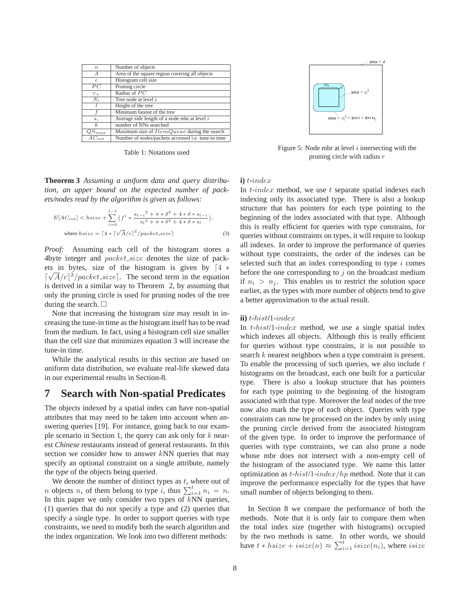| $\boldsymbol{n}$ | Number of objects                                  |  |  |  |
|------------------|----------------------------------------------------|--|--|--|
| $\boldsymbol{A}$ | Area of the square region covering all objects     |  |  |  |
| $\epsilon$       | Histogram cell size                                |  |  |  |
| $\overline{P}C$  | Pruning circle                                     |  |  |  |
| $r_{+}$          | Radius of $PC$                                     |  |  |  |
| $N_i$            | Tree node at level i                               |  |  |  |
|                  | Height of the tree                                 |  |  |  |
|                  | Minimum fanout of the tree                         |  |  |  |
| $s_i$            | Average side length of a node mbr at level $i$     |  |  |  |
| k.               | number of NNs searched                             |  |  |  |
| $QS_{max}$       | Maximum size of $ItemQueue$ during the search      |  |  |  |
| $AC_{tot}$       | Number of nodes/packets accessed i.e. tune-in time |  |  |  |

Table 1: Notations used

**Theorem 3** *Assuming a uniform data and query distribution, an upper bound on the expected number of packets/nodes read by the algorithm is given as follows:*

$$
E[AC_{tot}] < hsize + \sum_{i=0}^{l-1} \left( f^i * \frac{s_{l-i}^2 + \pi * \delta^2 + 4 * \delta * s_{l-i}}{s_l^2 + \pi * \delta^2 + 4 * \delta * s_l} \right),
$$
\n
$$
\text{where } hsize = \lceil 4 * \lceil \sqrt{A/c} \rceil^2 / packet.size \rceil \tag{3}
$$

*Proof:* Assuming each cell of the histogram stores a 4byte integer and packet size denotes the size of packets in bytes, size of the histogram is given by  $\begin{bmatrix} 4 \\ \end{bmatrix}$   $\begin{bmatrix} \sqrt{4}/c \end{bmatrix}^2$  (nacket size). The second term in the equation  $\lceil \sqrt{A}/c \rceil^2 / packet\_size \rceil$ . The second term in the equation is derived in a similar way to Theorem 2, by assuming that only the pruning circle is used for pruning nodes of the tree during the search.  $\Box$ 

Note that increasing the histogram size may result in increasing the tune-in time as the histogram itself has to be read from the medium. In fact, using a histogram cell size smaller than the cell size that minimizes equation 3 will increase the tune-in time.

While the analytical results in this section are based on uniform data distribution, we evaluate real-life skewed data in our experimental results in Section-8.

# **7 Search with Non-spatial Predicates**

The objects indexed by a spatial index can have non-spatial attributes that may need to be taken into account when answering queries [19]. For instance, going back to our example scenario in Section 1, the query can ask only for  $k$  nearest *Chinese* restaurants instead of general restaurants. In this section we consider how to answer  $kNN$  queries that may specify an optional constraint on a single attribute, namely the *type* of the objects being queried.

We denote the number of distinct types as  $t$ , where out of *n* objects  $n_i$  of them belong to type *i*, thus  $\sum_{i=1}^{t} n_i = n$ .<br>In this paper we only consider two types of *kNN* queries In this paper we only consider two types of  $kNN$  queries, (1) queries that do not specify a type and (2) queries that specify a single type. In order to support queries with type constraints, we need to modify both the search algorithm and the index organization. We look into two different methods:



Figure 5: Node mbr at level *i* intersecting with the pruning circle with radius *r*

### **i)** t**-**index

In  $t$ -index method, we use  $t$  separate spatial indexes each indexing only its associated type. There is also a lookup structure that has pointers for each type pointing to the beginning of the index associated with that type. Although this is really efficient for queries with type constrains, for queries without constraints on types, it will require to lookup all indexes. In order to improve the performance of queries without type constraints, the order of the indexes can be selected such that an index corresponding to type  $i$  comes before the one corresponding to  $j$  on the broadcast medium if  $n_i > n_j$ . This enables us to restrict the solution space earlier, as the types with more number of objects tend to give a better approximation to the actual result.

#### **ii)** <sup>t</sup>**-**hist**/**1**-**index

In  $t$ -hist/1-index method, we use a single spatial index which indexes all objects. Although this is really efficient for queries without type constrains, it is not possible to search k nearest neighbors when a type constraint is present. To enable the processing of such queries, we also include  $t$ histograms on the broadcast, each one built for a particular type. There is also a lookup structure that has pointers for each type pointing to the beginning of the histogram associated with that type. Moreover the leaf nodes of the tree now also mark the type of each object. Queries with type constraints can now be processed on the index by only using the pruning circle derived from the associated histogram of the given type. In order to improve the performance of queries with type constraints, we can also prune a node whose mbr does not intersect with a non-empty cell of the histogram of the associated type. We name this latter optimization as  $t$ -hist/1-index/hp method. Note that it can improve the performance especially for the types that have small number of objects belonging to them.

In Section 8 we compare the performance of both the methods. Note that it is only fair to compare them when the total index size (together with histograms) occupied by the two methods is same. In other words, we should have  $t * hsize + isize(n) \approx \sum_{i=1}^{t} isize(n_i)$ , where isize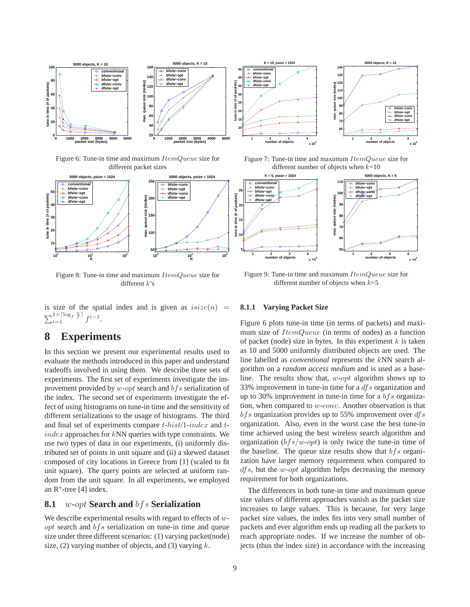

Figure 6: Tune-in time and maximum *ItemQueue* size for different packet sizes



Figure 8: Tune-in time and maximum *ItemQueue* size for different *k*'s

is size of the spatial index and is given as  $isize(n)$  =  $\sum_{i=1}^{1+\lceil \log_f \frac{n}{f} \rceil} f^{i-1}.$ 

# **8 Experiments**

In this section we present our experimental results used to evaluate the methods introduced in this paper and understand tradeoffs involved in using them. We describe three sets of experiments. The first set of experiments investigate the improvement provided by  $w$ -opt search and  $bf s$  serialization of the index. The second set of experiments investigate the effect of using histograms on tune-in time and the sensitivity of different serializations to the usage of histograms. The third and final set of experiments compare <sup>t</sup>-hist/1-index and <sup>t</sup> $index$  approaches for  $kNN$  queries with type constraints. We use two types of data in our experiments, (i) uniformly distributed set of points in unit square and (ii) a skewed dataset composed of city locations in Greece from [1] (scaled to fit unit square). The query points are selected at uniform random from the unit square. In all experiments, we employed an R<sup>∗</sup>-tree [4] index.

### **8.1** *w***-***opt* **Search and** *bfs* **Serialization**

We describe experimental results with regard to effects of  $w$  $opt$  search and  $bf$ s serialization on tune-in time and queue size under three different scenarios: (1) varying packet(node) size, (2) varying number of objects, and (3) varying  $k$ .

Figure 7: Tune-in time and maximum *ItemQueue* size for different number of objects when *k*=10



Figure 9: Tune-in time and maximum *ItemQueue* size for different number of objects when *k*=5

#### **8.1.1 Varying Packet Size**

Figure 6 plots tune-in time (in terms of packets) and maximum size of *ItemQueue* (in terms of nodes) as a function of packet (node) size in bytes. In this experiment  $k$  is taken as 10 and 5000 uniformly distributed objects are used. The line labelled as *conventional* represents the kNN search algorithm on a *random access medium* and is used as a baseline. The results show that,  $w\text{-}opt$  algorithm shows up to 33% improvement in tune-in time for a  $df s$  organization and up to 30% improvement in tune-in time for a  $bf s$  organization, when compared to  $w\text{-}conv$ . Another observation is that  $bfs$  organization provides up to 55% improvement over  $dfs$ organization. Also, even in the worst case the best tune-in time achieved using the best wireless search algorithm and organization  $(bfs/w-opt)$  is only twice the tune-in time of the baseline. The queue size results show that  $bf s$  organization have larger memory requirement when compared to  $dfs$ , but the w-opt algorithm helps decreasing the memory requirement for both organizations.

The differences in both tune-in time and maximum queue size values of different approaches vanish as the packet size increases to large values. This is because, for very large packet size values, the index fits into very small number of packets and ever algorithm ends up reading all the packets to reach appropriate nodes. If we increase the number of objects (thus the index size) in accordance with the increasing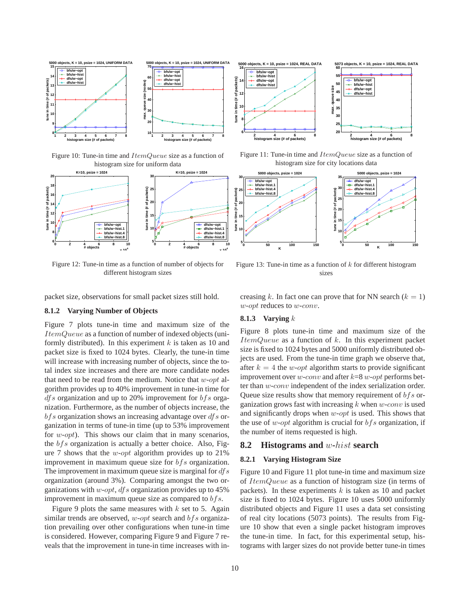

Figure 10: Tune-in time and *ItemQueue* size as a function of histogram size for uniform data



Figure 12: Tune-in time as a function of number of objects for different histogram sizes



Figure 11: Tune-in time and *ItemQueue* size as a function of histogram size for city locations data



Figure 13: Tune-in time as a function of *k* for different histogram sizes

packet size, observations for small packet sizes still hold.

### **8.1.2 Varying Number of Objects**

Figure 7 plots tune-in time and maximum size of the ItemQueue as a function of number of indexed objects (uniformly distributed). In this experiment  $k$  is taken as 10 and packet size is fixed to 1024 bytes. Clearly, the tune-in time will increase with increasing number of objects, since the total index size increases and there are more candidate nodes that need to be read from the medium. Notice that  $w$ -opt algorithm provides up to 40% improvement in tune-in time for  $dfs$  organization and up to 20% improvement for  $bfs$  organization. Furthermore, as the number of objects increase, the  $bfs$  organization shows an increasing advantage over  $dfs$  organization in terms of tune-in time (up to 53% improvement for  $w\text{-}opt$ ). This shows our claim that in many scenarios, the  $bfs$  organization is actually a better choice. Also, Figure 7 shows that the *w-opt* algorithm provides up to  $21\%$ improvement in maximum queue size for  $bf s$  organization. The improvement in maximum queue size is marginal for  $dfs$ organization (around 3%). Comparing amongst the two organizations with  $w$ -opt, dfs organization provides up to 45% improvement in maximum queue size as compared to  $bf s$ .

Figure 9 plots the same measures with  $k$  set to 5. Again similar trends are observed,  $w$ -opt search and  $bf s$  organization prevailing over other configurations when tune-in time is considered. However, comparing Figure 9 and Figure 7 reveals that the improvement in tune-in time increases with increasing k. In fact one can prove that for NN search  $(k = 1)$ w-opt reduces to w-conv.

### **8.1.3 Varying** k

Figure 8 plots tune-in time and maximum size of the  $ItemQueue$  as a function of  $k$ . In this experiment packet size is fixed to 1024 bytes and 5000 uniformly distributed objects are used. From the tune-in time graph we observe that, after  $k = 4$  the *w-opt* algorithm starts to provide significant improvement over *w*-conv and after  $k=8$  *w*-opt performs better than w-conv independent of the index serialization order. Queue size results show that memory requirement of  $bf s$  organization grows fast with increasing  $k$  when  $w\text{-}conv$  is used and significantly drops when w-opt is used. This shows that the use of w-opt algorithm is crucial for  $bf s$  organization, if the number of items requested is high.

#### **8.2 Histograms and** *w***-***hist* **search**

#### **8.2.1 Varying Histogram Size**

Figure 10 and Figure 11 plot tune-in time and maximum size of ItemQueue as a function of histogram size (in terms of packets). In these experiments  $k$  is taken as 10 and packet size is fixed to 1024 bytes. Figure 10 uses 5000 uniformly distributed objects and Figure 11 uses a data set consisting of real city locations (5073 points). The results from Figure 10 show that even a single packet histogram improves the tune-in time. In fact, for this experimental setup, histograms with larger sizes do not provide better tune-in times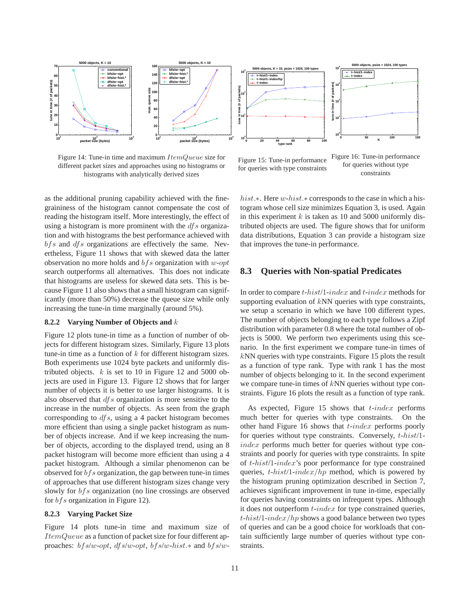

Figure 14: Tune-in time and maximum *ItemQueue* size for different packet sizes and approaches using no histograms or histograms with analytically derived sizes

Figure 15: Tune-in performance for queries with type constraints

Figure 16: Tune-in performance for queries without type constraints

as the additional pruning capability achieved with the finegraininess of the histogram cannot compensate the cost of reading the histogram itself. More interestingly, the effect of using a histogram is more prominent with the  $df$ s organization and with histograms the best performance achieved with  $bf s$  and  $dfs$  organizations are effectively the same. Nevertheless, Figure 11 shows that with skewed data the latter observation no more holds and  $bf s$  organization with w-opt search outperforms all alternatives. This does not indicate that histograms are useless for skewed data sets. This is because Figure 11 also shows that a small histogram can significantly (more than 50%) decrease the queue size while only increasing the tune-in time marginally (around 5%).

### **8.2.2 Varying Number of Objects and** k

Figure 12 plots tune-in time as a function of number of objects for different histogram sizes. Similarly, Figure 13 plots tune-in time as a function of  $k$  for different histogram sizes. Both experiments use 1024 byte packets and uniformly distributed objects.  $k$  is set to 10 in Figure 12 and 5000 objects are used in Figure 13. Figure 12 shows that for larger number of objects it is better to use larger histograms. It is also observed that  $dfs$  organization is more sensitive to the increase in the number of objects. As seen from the graph corresponding to  $dfs$ , using a 4 packet histogram becomes more efficient than using a single packet histogram as number of objects increase. And if we keep increasing the number of objects, according to the displayed trend, using an 8 packet histogram will become more efficient than using a 4 packet histogram. Although a similar phenomenon can be observed for  $bf$ s organization, the gap between tune-in times of approaches that use different histogram sizes change very slowly for *bfs* organization (no line crossings are observed for  $bf$ s organization in Figure 12).

#### **8.2.3 Varying Packet Size**

Figure 14 plots tune-in time and maximum size of ItemQueue as a function of packet size for four different approaches: bfs/w-opt, dfs/w-opt, bfs/w-hist.∗ and bfs/whist.∗. Here w-hist.∗ corresponds to the case in which a histogram whose cell size minimizes Equation 3, is used. Again in this experiment  $k$  is taken as 10 and 5000 uniformly distributed objects are used. The figure shows that for uniform data distributions, Equation 3 can provide a histogram size that improves the tune-in performance.

### **8.3 Queries with Non-spatial Predicates**

In order to compare <sup>t</sup>-hist/1-index and <sup>t</sup>-index methods for supporting evaluation of  $kNN$  queries with type constraints, we setup a scenario in which we have 100 different types. The number of objects belonging to each type follows a Zipf distribution with parameter 0.8 where the total number of objects is 5000. We perform two experiments using this scenario. In the first experiment we compare tune-in times of kNN queries with type constraints. Figure 15 plots the result as a function of type rank. Type with rank 1 has the most number of objects belonging to it. In the second experiment we compare tune-in times of  $kNN$  queries without type constraints. Figure 16 plots the result as a function of type rank.

As expected, Figure 15 shows that  $t$ -index performs much better for queries with type constraints. On the other hand Figure 16 shows that  $t$ -index performs poorly for queries without type constraints. Conversely, <sup>t</sup>-hist/1 index performs much better for queries without type constraints and poorly for queries with type constraints. In spite of <sup>t</sup>-hist/1-index's poor performance for type constrained queries,  $t$ -hist/1-index/hp method, which is powered by the histogram pruning optimization described in Section 7, achieves significant improvement in tune in-time, especially for queries having constraints on infrequent types. Although it does not outperform  $t$ -index for type constrained queries,  $t$ -hist/1-index/hp shows a good balance between two types of queries and can be a good choice for workloads that contain sufficiently large number of queries without type constraints.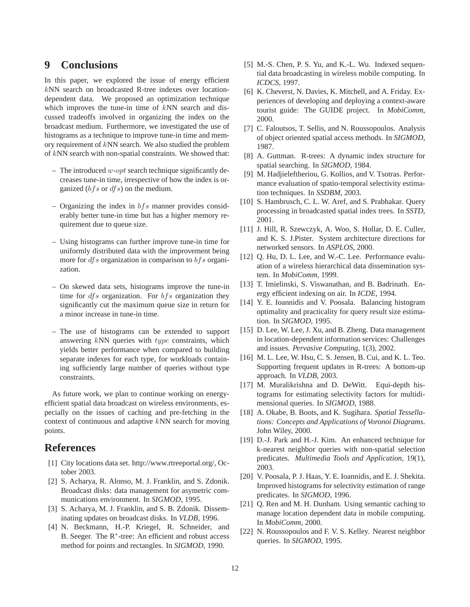# **9 Conclusions**

In this paper, we explored the issue of energy efficient kNN search on broadcasted R-tree indexes over locationdependent data. We proposed an optimization technique which improves the tune-in time of  $kNN$  search and discussed tradeoffs involved in organizing the index on the broadcast medium. Furthermore, we investigated the use of histograms as a technique to improve tune-in time and memory requirement of kNN search. We also studied the problem of kNN search with non-spatial constraints. We showed that:

- The introduced  $w$ -opt search technique significantly decreases tune-in time, irrespective of how the index is organized  $(bfs \text{ or } dfs)$  on the medium.
- Organizing the index in  $bf s$  manner provides considerably better tune-in time but has a higher memory requirement due to queue size.
- Using histograms can further improve tune-in time for uniformly distributed data with the improvement being more for  $dfs$  organization in comparison to  $bfs$  organization.
- On skewed data sets, histograms improve the tune-in time for  $dfs$  organization. For  $bfs$  organization they significantly cut the maximum queue size in return for a minor increase in tune-in time.
- The use of histograms can be extended to support answering kNN queries with type constraints, which yields better performance when compared to building separate indexes for each type, for workloads containing sufficiently large number of queries without type constraints.

As future work, we plan to continue working on energyefficient spatial data broadcast on wireless environments, especially on the issues of caching and pre-fetching in the context of continuous and adaptive kNN search for moving points.

# **References**

- [1] City locations data set. http://www.rtreeportal.org/, October 2003.
- [2] S. Acharya, R. Alonso, M. J. Franklin, and S. Zdonik. Broadcast disks: data management for asymetric communications environment. In *SIGMOD*, 1995.
- [3] S. Acharya, M. J. Franklin, and S. B. Zdonik. Disseminating updates on broadcast disks. In *VLDB*, 1996.
- [4] N. Beckmann, H.-P. Kriegel, R. Schneider, and B. Seeger. The R<sup>∗</sup>-tree: An efficient and robust access method for points and rectangles. In *SIGMOD*, 1990.
- [5] M.-S. Chen, P. S. Yu, and K.-L. Wu. Indexed sequential data broadcasting in wireless mobile computing. In *ICDCS*, 1997.
- [6] K. Cheverst, N. Davies, K. Mitchell, and A. Friday. Experiences of developing and deploying a context-aware tourist guide: The GUIDE project. In *MobiComm*, 2000.
- [7] C. Faloutsos, T. Sellis, and N. Roussopoulos. Analysis of object oriented spatial access methods. In *SIGMOD*, 1987.
- [8] A. Guttman. R-trees: A dynamic index structure for spatial searching. In *SIGMOD*, 1984.
- [9] M. Hadjieleftheriou, G. Kollios, and V. Tsotras. Performance evaluation of spatio-temporal selectivity estimation techniques. In *SSDBM*, 2003.
- [10] S. Hambrusch, C. L. W. Aref, and S. Prabhakar. Query processing in broadcasted spatial index trees. In *SSTD*, 2001.
- [11] J. Hill, R. Szewczyk, A. Woo, S. Hollar, D. E. Culler, and K. S. J.Pister. System architecture directions for networked sensors. In *ASPLOS*, 2000.
- [12] Q. Hu, D. L. Lee, and W.-C. Lee. Performance evaluation of a wireless hierarchical data dissemination system. In *MobiComm*, 1999.
- [13] T. Imielinski, S. Viswanathan, and B. Badrinath. Energy efficient indexing on air. In *ICDE*, 1994.
- [14] Y. E. Ioannidis and V. Poosala. Balancing histogram optimality and practicality for query result size estimation. In *SIGMOD*, 1995.
- [15] D. Lee, W. Lee, J. Xu, and B. Zheng. Data management in location-dependent information services: Challenges and issues. *Pervasive Computing*, 1(3), 2002.
- [16] M. L. Lee, W. Hsu, C. S. Jensen, B. Cui, and K. L. Teo. Supporting frequent updates in R-trees: A bottom-up approach. In *VLDB*, 2003.
- [17] M. Muralikrishna and D. DeWitt. Equi-depth histograms for estimating selectivity factors for multidimensional queries. In *SIGMOD*, 1988.
- [18] A. Okabe, B. Boots, and K. Sugihara. *Spatial Tessellations: Concepts and Applications of Voronoi Diagrams*. John Wiley, 2000.
- [19] D.-J. Park and H.-J. Kim. An enhanced technique for k-nearest neighbor queries with non-spatial selection predicates. *Multimedia Tools and Application*, 19(1), 2003.
- [20] V. Poosala, P. J. Haas, Y. E. Ioannidis, and E. J. Shekita. Improved histograms for selectivity estimation of range predicates. In *SIGMOD*, 1996.
- [21] O. Ren and M. H. Dunham. Using semantic caching to manage location dependent data in mobile computing. In *MobiComm*, 2000.
- [22] N. Roussopoulos and F. V. S. Kelley. Nearest neighbor queries. In *SIGMOD*, 1995.